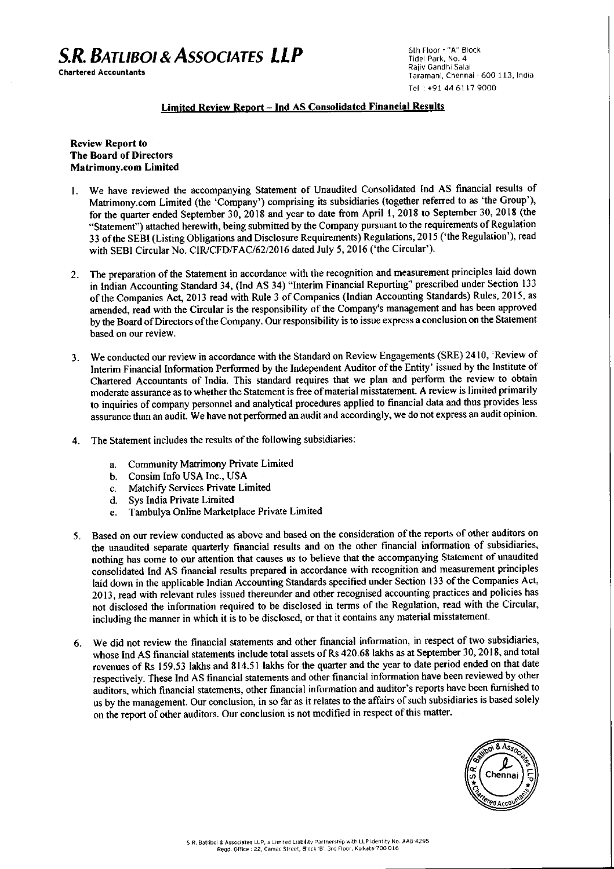# *S.R. BATtlBOI* **&** *ASSOCIATES LLP*

Chartered Accountants

6th Floor - "A" Block Tidel Park, No.4 Rajiv Gandhi Salai Taramani, Chennai - 600 113, India Tel:+914461179000

## Limited Review Report - Ind AS Consolidated Financial Results

## Review Report to The Board of Directors Matrimony.com Limited

- I. We have reviewed the accompanying Statement of Unaudited Consolidated Ind AS financial results of Matrimony.com Limited (the 'Company') comprising its subsidiaries (together referred to as 'the Group'), for the quarter ended September 30, 2018 and year to date from April 1,2018 to September 30, 2018 (the "Statement") attached herewith, being submitted by the Company pursuant to the requirements of Regulation 33 of the SEBI(Listing Obligations and Disclosure Requirements) Regulations, 2015 ('the Regulation'), read with SEBI Circular No. CIR/CFD/FAC/62/2016 dated July 5, 2016 ('the Circular').
- 2. The preparation of the Statement in accordance with the recognition and measurement principles laid down in Indian Accounting Standard 34, (Ind AS 34) "Interim Financial Reporting" prescribed under Section 133 of the Companies Act, 2013 read with Rule 3 of Companies (Indian Accounting Standards) Rules, 2015, as amended, read with the Circular is the responsibility of the Company's management and has been approved by the Board of Directors ofthe Company. Our responsibility isto issue express a conclusion on the Statement based on our review.
- 3. We conducted our review in accordance with the Standard on Review Engagements (SRE) 2410, 'Review of Interim Financial Information Performed by the Independent Auditor of the Entity' issued by the Institute of Chartered Accountants of India. This standard requires that we plan and perform the review to obtain moderate assurance as to whether the Statement is free of material misstatement. A review is limited primarily to inquiries of company personnel and analytical procedures applied to fmancial data and thus provides less assurance than an audit. We have not performed an audit and accordingly, we do not express an audit opinion.
- 4. The Statement includes the results of the following subsidiaries:
	- a. Community Matrimony Private Limited
	- b. Consim Info USA Inc., USA
	- c. Matchify Services Private Limited
	- d. Sys India Private Limited
	- e. Tambulya Online Marketplace Private Limited
- 5. Based on our review conducted as above and based on the consideration of the reports of other auditors on the unaudited separate quarterly financial results and on the other financial information of subsidiaries, nothing has come to our attention that causes us to believe that the accompanying Statement of unaudited consolidated Ind AS financial results prepared in accordance with recognition and measurement principles laid down in the applicable Indian Accounting Standards specified under Section 133 of the Companies Act, 2013, read with relevant rules issued thereunder and other recognised accounting practices and policies has not disclosed the information required to be disclosed in terms of the Regulation, read with the Circular, including the manner in which it is to be disclosed, or that it contains any material misstatement.
- 6. We did not review the financial statements and other financial information, in respect of two subsidiaries, whose Ind AS financial statements include total assets of Rs 420.68 lakhs as at September 30, 2018, and total revenues of Rs 159.53 lakhs and 814.51 lakhs for the quarter and the year to date period ended on that date respectively. These Ind AS financial statements and other financial information have been reviewed by other auditors, which financial statements, other financial information and auditor's reports have been furnished to us by the management. Our conclusion, in so far as it relates to the affairs of such subsidiaries is based solely on the report of other auditors. Our conclusion is not modified in respect of this matter.

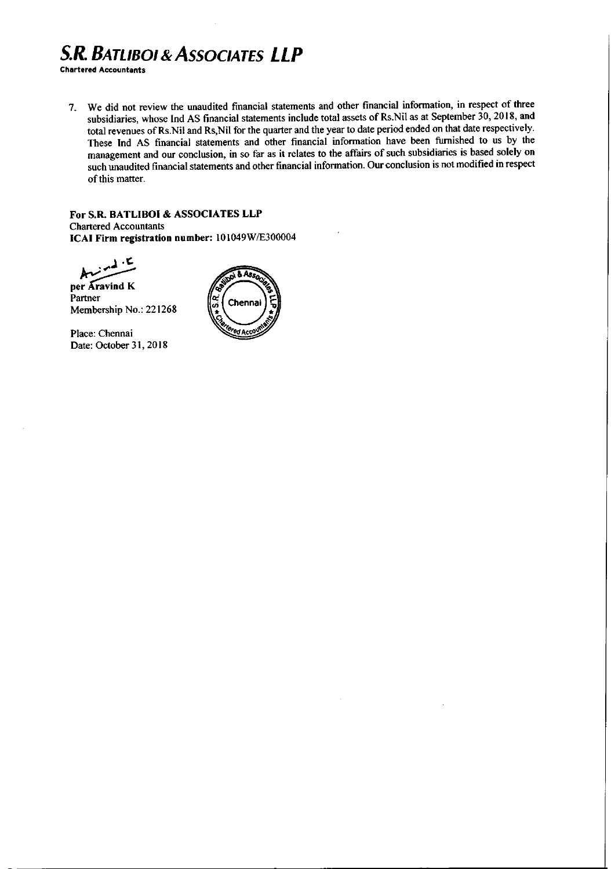# *S.R.BATLIBOI* **&** *ASSOCIATES LLP*

**Chartered Accountants**

7. We did not review the unaudited financial statements and other financial information, in respect of three subsidiaries, whose Ind AS financial statements include total assets of Rs.Nil as at September 30, 2018, and total revenues of Rs.Nil and Rs,Nil for the quarter and the year to date period ended on that date respectively. These Ind AS financial statements and other financial information have been furnished to us by the management and our conclusion, in so far as it relates to the affairs of such subsidiaries is based solely on such unaudited financial statements and other financial information. Our conclusion is not modified in respect of this matter.

**For** S.R. **BATLIBOI & ASSOCIATES LLP** Chartered Accountants **ICAI Firm registration number:** 101049WlE300004

,.(. ~~

**per ..(i;vind K** Partner Membership No.: 221268

Place: Chennai Date: October 31, 2018

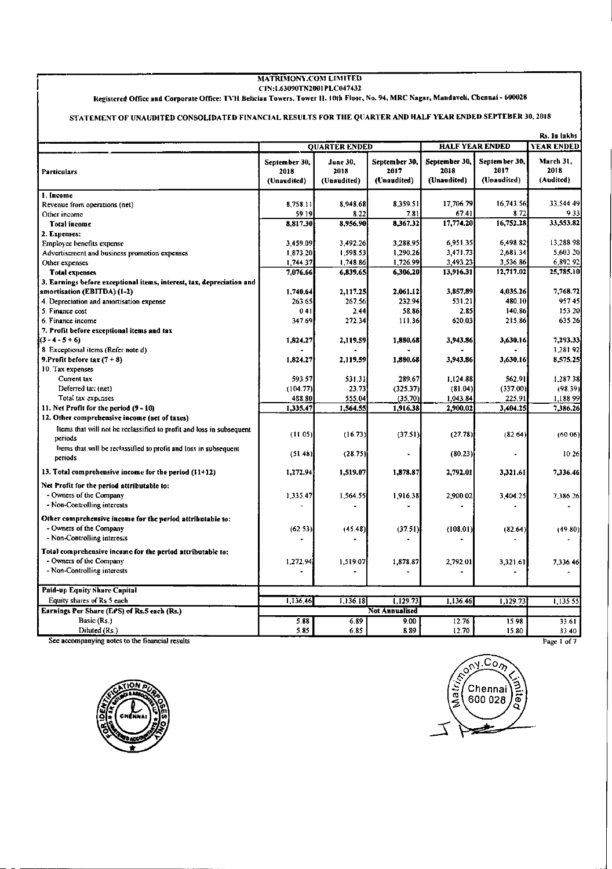### MATRIMONY.COM LIMITED CIN:L63090TN2001 PLC047432

## Registered Office and Corporate Office: TVH Beliciaa Towers, Tower II, 10th Floor, No. 94, MRC Nagar, Mandaveli, Chennai - 600028

## STATEMENT OF UNAUDITED CONSOLIDATED FINANCIAL RESULTS FOR TilE QllARTER AND HALF YEAR ENDED SEPTEBER 30, 2018

| Rs. In lakhs                                                                          |                      |             |                       |                        |               |                   |  |
|---------------------------------------------------------------------------------------|----------------------|-------------|-----------------------|------------------------|---------------|-------------------|--|
|                                                                                       | <b>OUARTER ENDED</b> |             |                       | <b>HALF YEAR ENDED</b> |               | <b>YEAR ENDED</b> |  |
|                                                                                       | September 30.        | June 30.    | September 30,         | September 30,          | September 30, | March 31,         |  |
| <b>Particulars</b>                                                                    | 2018                 | 2018        | 2017                  | 2018                   | 2017          | 2018              |  |
|                                                                                       | (Unaudited)          | (Unaudited) | (Unaudited)           | (Unaudited)            | (Unaudited)   | (Audited)         |  |
| 1. Income                                                                             |                      |             |                       |                        |               |                   |  |
| Revenue from operations (net)                                                         | 8.758.11             | 8.948.68    | 8.359.51              | 17.706.79              | 16.743.56     | 33,544.49         |  |
| Other income                                                                          | 59.19                | 8.22        | 7.81                  | 67.41                  | 8.72          | 933               |  |
| Total income                                                                          | 8.817.30             | 8,956.90    | 8,367.32              | 17.774.20              | 16,752.28     | 33.553.82         |  |
| 2. Expenses:                                                                          |                      |             |                       |                        |               |                   |  |
| Employee benefits expense                                                             | 3,459.09             | 3,492.26    | 3,288.95              | 6,951,35               | 6,498.82      | 13,288.98         |  |
| Advertisement and business promotion expenses                                         | 1,873.20             | 1,598.53    | 1,290.26              | 3,471.73               | 2.681.34      | 5,603.20          |  |
| Other expenses                                                                        | 1,744.37             | 1,748.86    | 1,726.99              | 3,493.23               | 3,536.86      | 6,892 92          |  |
| <b>Total expenses</b>                                                                 | 7,076.66             | 6,839.65    | 6,306,20              | 13,916.31              | 12,717.02     | 25,785.10         |  |
| 3. Earnings before exceptional items, interest, tax, depreciation and                 |                      |             |                       |                        |               |                   |  |
| amortisation (EBITDA) (1-2)                                                           | 1,740.64             | 2.117.25    | 2,061.12              | 3,857,89               | 4,035.26      | 7,768.72          |  |
| 4. Depreciation and amortisation expense                                              | 263.65               | 267.56      | 232.94                | 531.21                 | 480.10        | 95745             |  |
| 5. Finance cost                                                                       | 0.41                 | 2.44        | 58.86                 | 2.85                   | 140.86        | 153.20            |  |
| 6. Finance income                                                                     | 347.69               | 272.34      | 111.36                | 620.03                 | 215.86        | 635.26            |  |
| 7. Profit before exceptional items and tax                                            |                      |             |                       |                        |               |                   |  |
| $(3 - 4 - 5 + 6)$                                                                     | 1.824,27             | 2,119.59    | 1,880.68              | 3,943.86               | 3,630.16      | 7,293.33          |  |
| 8. Exceptional items (Refer note d)                                                   |                      |             |                       |                        |               | 1,281 92          |  |
| 9. Profit before tax $(7 + 8)$                                                        | 1,824.27             | 2,119.59    | 1,880.68              | 3,943.86               | 3,630.16      | 8,575.25          |  |
| 10. Tax expenses                                                                      |                      |             |                       |                        |               |                   |  |
| Current tax                                                                           | 593.57               | 531.31      | 289.67                | 1.124.88               | 562.91        | 1,287.38          |  |
| Deferred ta: (net)                                                                    | (104.77)             | 23.73       | (325.37)              | (81.04)                | (337.00)      | (98.39)           |  |
| Total tax expenses                                                                    | 488.80               | 555.04      | (35.70)               | 1.043.84               | 225.91        | 1,188.99          |  |
| 11. Net Profit for the period (9 - 10)                                                | 1,335.47             | 1,564.55    | 1,916.38              | 2,900.02               | 3,404.25      | 7,386.26          |  |
| 12. Other comprehensive income (net of taxes)                                         |                      |             |                       |                        |               |                   |  |
| Items that will not be reclassified to profit and loss in subsequent                  |                      |             |                       |                        |               |                   |  |
| periods                                                                               | (11.05)              | (16.73)     | (37.51)               | (27.78)                | (82.64)       | (60.06)           |  |
| liems that will be reclassified to profit and loss in subsequent<br>periods           | (51.48)              | (28.75)     |                       | (80.23)                |               | 10.26             |  |
| 13. Total comprehensive income for the period (11+12)                                 | 1,272.94             | 1,519.07    | 1,878.87              | 2.792.01               | 3,321.61      | 7,336.46          |  |
| Net Profit for the period attributable to:                                            |                      |             |                       |                        |               |                   |  |
| - Owners of the Company                                                               | 1,335.47             | 1,564.55    | 1,916.38              | 2,900.02               | 3,404.25      | 7,386.26          |  |
| - Non-Controlling interests                                                           |                      |             |                       |                        |               |                   |  |
|                                                                                       |                      |             |                       |                        |               |                   |  |
| Other comprehensive income for the period attributable to:<br>- Owners of the Company |                      |             |                       |                        |               |                   |  |
|                                                                                       | (62.53)              | (45.48)     | (37.51)               | (108.01)               | (82.64)       | (49.80);          |  |
| - Non-Controlling interests                                                           |                      |             |                       |                        |               |                   |  |
| Total comprehensive income for the period attributable to:                            |                      |             |                       |                        |               |                   |  |
| - Owners of the Company                                                               | 1,272.94             | 1,519.07    | 1,878.87              | 2,792.01               | 3,321.61      | 7,336.46          |  |
| - Non-Controlling interests                                                           |                      |             |                       |                        |               |                   |  |
|                                                                                       |                      |             |                       |                        |               |                   |  |
| Paid-up Equity Share Capital                                                          |                      |             |                       |                        |               |                   |  |
| Equity shares of Rs 5 each                                                            | 1,136.46             | 1,136.18    | 1.129.73              | 1.136.46               | 1,129.73      | 1,135.55          |  |
| Earnings Per Share (EPS) of Rs.5 each (Rs.)                                           |                      |             | <b>Not Annualised</b> |                        |               |                   |  |
| Basic (Rs.)                                                                           | 5.88                 | 6.89        | 9.00                  | 12.76                  | 15.98         | 33.61             |  |
| Diluted (Rs.)                                                                         | 5.85                 | 6.85        | 8.89                  | 12.70                  | 15.80         | 33 40             |  |
| See accompanying notes to the financial results                                       |                      |             |                       |                        |               | Page 1 of 7       |  |

I



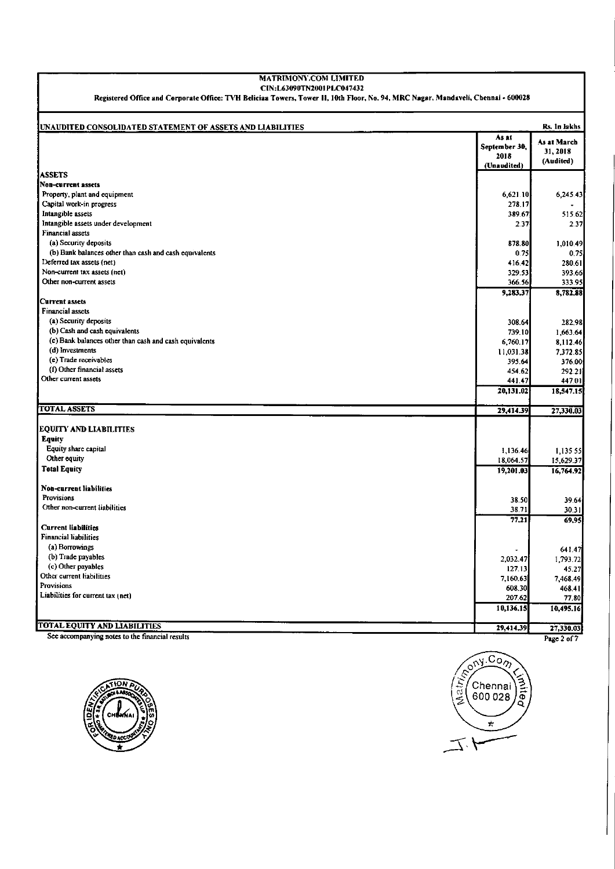### MATRIMONY.COM LIMITED CIN:L63090TN2001PLC047432

Registered Office and Corporate Office: TVH Beliciaa Towers, Tower II, 10th Floor, No. 94, MRC Nagar, Mandaveli, Chennai - 600028

| UNAUDITED CONSOLIDATED STATEMENT OF ASSETS AND LIABILITIES |                                               | Rs. In lakhs                         |
|------------------------------------------------------------|-----------------------------------------------|--------------------------------------|
|                                                            | As at<br>September 30,<br>2018<br>(Unaudited) | As at March<br>31, 2018<br>(Audited) |
| <b>ASSETS</b>                                              |                                               |                                      |
| <b>Non-current assets</b>                                  |                                               |                                      |
| Property, plant and equipment                              | 6,621.10                                      | 6,245.43                             |
| Capital work-in progress                                   | 278.17                                        |                                      |
| Intangible assets                                          | 389.67                                        | 515.62                               |
| Intangible assets under development                        | 237                                           | 2.37                                 |
| <b>Financial assets</b>                                    |                                               |                                      |
| (a) Security deposits                                      | 878.80                                        | 1.010.49                             |
| (b) Bank balances other than cash and cash equivalents     | 0.75                                          | 0.75                                 |
| Deferred tax assets (net)                                  | 416.42                                        | 280.61                               |
| Non-current tax assets (net)                               | 329.53                                        | 393.66                               |
| Other non-current assets                                   | 366.56                                        | 333.95                               |
|                                                            | 9,283.37                                      | 8,782,88                             |
| Current assets                                             |                                               |                                      |
| <b>Financial assets</b>                                    |                                               |                                      |
| (a) Security deposits                                      | 308.64                                        | 282.98                               |
| (b) Cash and cash equivalents                              | 739.10                                        | 1,663.64                             |
| (c) Bank balances other than cash and cash equivalents     | 6,760.17                                      | 8,112.46                             |
| (d) Investments                                            | 11,031.38                                     | 7,372.85                             |
| (e) Trade receivables                                      | 395.64                                        | 376.00                               |
| (f) Other financial assets<br>Other current assets         | 454 62                                        | 292.21                               |
|                                                            | 441 47                                        | 447.01                               |
|                                                            | 20,131.02                                     | 18,547.15                            |
| <b>TOTAL ASSETS</b>                                        | 29,414.39                                     | 27,330.03                            |
| <b>EQUITY AND LIABILITIES</b>                              |                                               |                                      |
| <b>Equity</b>                                              |                                               |                                      |
| Equity share capital                                       | 1,136.46                                      | 1,135.55                             |
| Other equity                                               | 18,064.57                                     | 15,629.37                            |
| <b>Total Equity</b>                                        | 19,201.03                                     | 16,764.92                            |
|                                                            |                                               |                                      |
| Non-current liabilities                                    |                                               |                                      |
| Provisions                                                 | 38.50                                         | 39.64                                |
| Other non-current liabilities                              | 38.71                                         | 30.31                                |
|                                                            | 77.21                                         | 69.95                                |
| <b>Current liabilities</b>                                 |                                               |                                      |
| <b>Financial liabilities</b>                               |                                               |                                      |
| (a) Borrowings                                             |                                               | 641.47                               |
| (b) Trade payables                                         | 2,032.47                                      | 1,793.72                             |
| (c) Other payables                                         | 127.13                                        | 45.27                                |
| Other current liabilities                                  | 7,160.63                                      | 7,468.49                             |
| Provisions                                                 | 608.30                                        | 468.41                               |
| Liabilities for current tax (net)                          | 207.62                                        | 77.80                                |
|                                                            | 10,136.15                                     | 10,495.16                            |
| <b>TOTAL EQUITY AND LIABILITIES</b>                        |                                               |                                      |
|                                                            | 29,414.39                                     | 27,330.03                            |